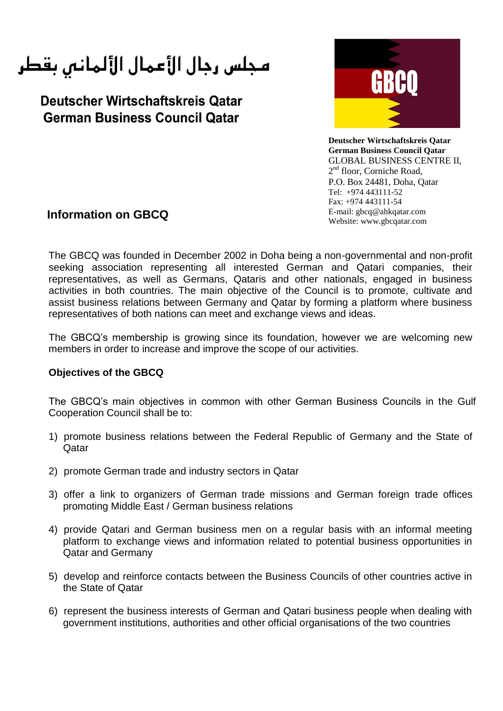مجلس رجال الأعمال الألمانس بقطر

Deutscher Wirtschaftskreis Qatar **German Business Council Qatar** 



**Deutscher Wirtschaftskreis Qatar German Business Council Qatar** GLOBAL BUSINESS CENTRE II, 2<sup>nd</sup> floor, Corniche Road, P.O. Box 24481, Doha, Qatar Tel: +974 443111-52 Fax: +974 443111-54 E-mail: gbcq@ahkqatar.com Website: www.gbcqatar.com

## **Information on GBCQ**

The GBCQ was founded in December 2002 in Doha being a non-governmental and non-profit seeking association representing all interested German and Qatari companies, their representatives, as well as Germans, Qataris and other nationals, engaged in business activities in both countries. The main objective of the Council is to promote, cultivate and assist business relations between Germany and Qatar by forming a platform where business representatives of both nations can meet and exchange views and ideas.

The GBCQ's membership is growing since its foundation, however we are welcoming new members in order to increase and improve the scope of our activities.

## **Objectives of the GBCQ**

The GBCQ's main objectives in common with other German Business Councils in the Gulf Cooperation Council shall be to:

- 1) promote business relations between the Federal Republic of Germany and the State of Qatar
- 2) promote German trade and industry sectors in Qatar
- 3) offer a link to organizers of German trade missions and German foreign trade offices promoting Middle East / German business relations
- 4) provide Qatari and German business men on a regular basis with an informal meeting platform to exchange views and information related to potential business opportunities in Qatar and Germany
- 5) develop and reinforce contacts between the Business Councils of other countries active in the State of Qatar
- 6) represent the business interests of German and Qatari business people when dealing with government institutions, authorities and other official organisations of the two countries